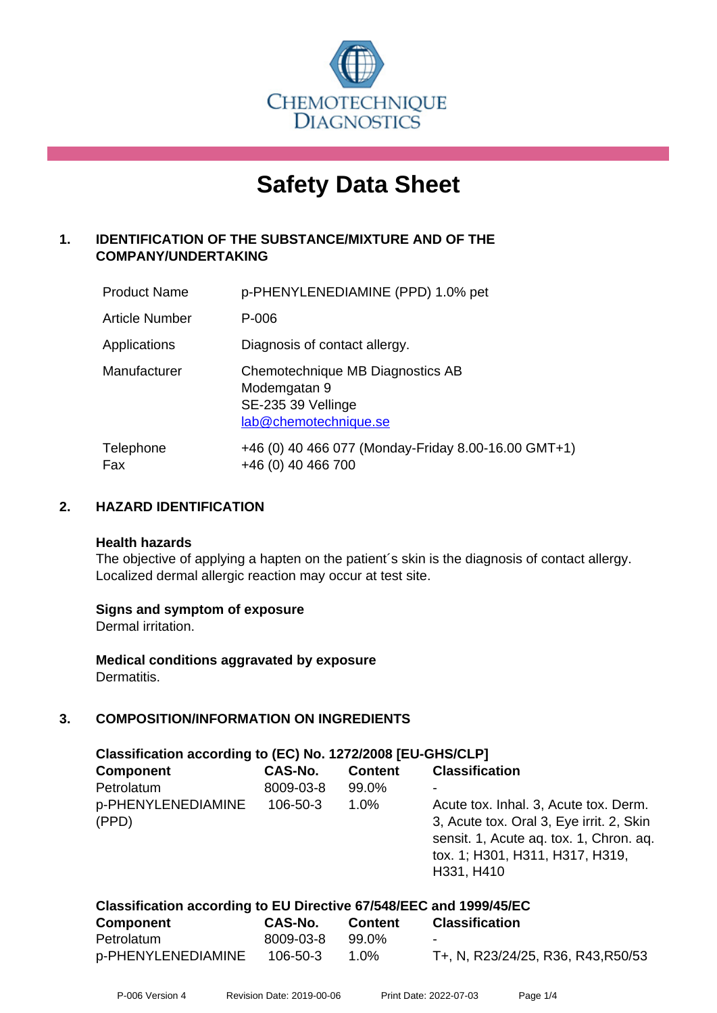

# **Safety Data Sheet**

# **1. IDENTIFICATION OF THE SUBSTANCE/MIXTURE AND OF THE COMPANY/UNDERTAKING**

| <b>Product Name</b>   | p-PHENYLENEDIAMINE (PPD) 1.0% pet                                                               |
|-----------------------|-------------------------------------------------------------------------------------------------|
| <b>Article Number</b> | P-006                                                                                           |
| Applications          | Diagnosis of contact allergy.                                                                   |
| Manufacturer          | Chemotechnique MB Diagnostics AB<br>Modemgatan 9<br>SE-235 39 Vellinge<br>lab@chemotechnique.se |
| Telephone<br>Fax      | +46 (0) 40 466 077 (Monday-Friday 8.00-16.00 GMT+1)<br>+46 (0) 40 466 700                       |

## **2. HAZARD IDENTIFICATION**

#### **Health hazards**

The objective of applying a hapten on the patient's skin is the diagnosis of contact allergy. Localized dermal allergic reaction may occur at test site.

#### **Signs and symptom of exposure**

Dermal irritation.

**Medical conditions aggravated by exposure** Dermatitis.

# **3. COMPOSITION/INFORMATION ON INGREDIENTS**

| Classification according to (EC) No. 1272/2008 [EU-GHS/CLP] |           |                |                                                                                                                                                                               |  |
|-------------------------------------------------------------|-----------|----------------|-------------------------------------------------------------------------------------------------------------------------------------------------------------------------------|--|
| <b>Component</b>                                            | CAS-No.   | <b>Content</b> | <b>Classification</b>                                                                                                                                                         |  |
| Petrolatum                                                  | 8009-03-8 | 99.0%          |                                                                                                                                                                               |  |
| p-PHENYLENEDIAMINE<br>(PPD)                                 | 106-50-3  | $1.0\%$        | Acute tox. Inhal. 3, Acute tox. Derm.<br>3, Acute tox. Oral 3, Eye irrit. 2, Skin<br>sensit. 1, Acute aq. tox. 1, Chron. aq.<br>tox. 1; H301, H311, H317, H319,<br>H331, H410 |  |

| Classification according to EU Directive 67/548/EEC and 1999/45/EC |           |                |                                    |  |
|--------------------------------------------------------------------|-----------|----------------|------------------------------------|--|
| <b>Component</b>                                                   | CAS-No.   | <b>Content</b> | <b>Classification</b>              |  |
| Petrolatum                                                         | 8009-03-8 | 99.0%          | $\sim$                             |  |
| p-PHENYLENEDIAMINE                                                 | 106-50-3  | 1.0%           | T+, N, R23/24/25, R36, R43, R50/53 |  |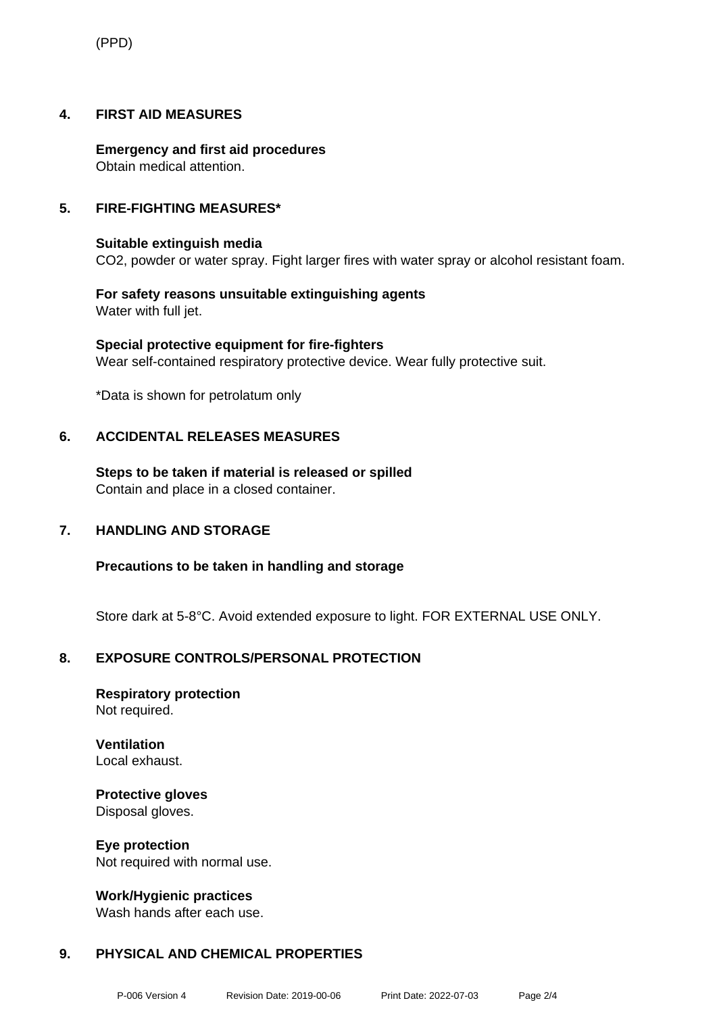(PPD)

### **4. FIRST AID MEASURES**

**Emergency and first aid procedures** Obtain medical attention.

### **5. FIRE-FIGHTING MEASURES\***

#### **Suitable extinguish media** CO2, powder or water spray. Fight larger fires with water spray or alcohol resistant foam.

**For safety reasons unsuitable extinguishing agents** Water with full jet.

**Special protective equipment for fire-fighters** Wear self-contained respiratory protective device. Wear fully protective suit.

\*Data is shown for petrolatum only

## **6. ACCIDENTAL RELEASES MEASURES**

**Steps to be taken if material is released or spilled** Contain and place in a closed container.

#### **7. HANDLING AND STORAGE**

**Precautions to be taken in handling and storage**

Store dark at 5-8°C. Avoid extended exposure to light. FOR EXTERNAL USE ONLY.

# **8. EXPOSURE CONTROLS/PERSONAL PROTECTION**

**Respiratory protection** Not required.

**Ventilation** Local exhaust.

**Protective gloves** Disposal gloves.

**Eye protection** Not required with normal use.

**Work/Hygienic practices**

Wash hands after each use.

## **9. PHYSICAL AND CHEMICAL PROPERTIES**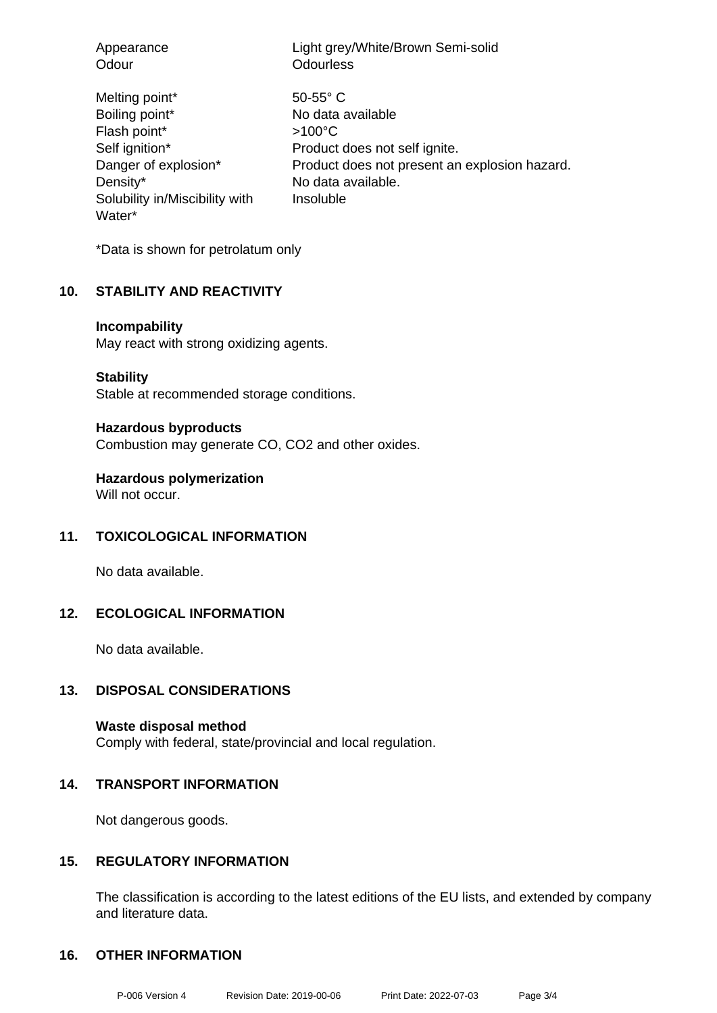| Appearance<br>Odour                                                                                                                                | Light grey/White/Brown Semi-solid<br><b>Odourless</b>                                                                                                                       |
|----------------------------------------------------------------------------------------------------------------------------------------------------|-----------------------------------------------------------------------------------------------------------------------------------------------------------------------------|
| Melting point*<br>Boiling point*<br>Flash point*<br>Self ignition*<br>Danger of explosion*<br>Density*<br>Solubility in/Miscibility with<br>Water* | $50 - 55$ ° C<br>No data available<br>$>100^{\circ}$ C<br>Product does not self ignite.<br>Product does not present an explosion hazard.<br>No data available.<br>Insoluble |
|                                                                                                                                                    |                                                                                                                                                                             |

\*Data is shown for petrolatum only

#### **10. STABILITY AND REACTIVITY**

#### **Incompability**

May react with strong oxidizing agents.

**Stability**

Stable at recommended storage conditions.

#### **Hazardous byproducts**

Combustion may generate CO, CO2 and other oxides.

**Hazardous polymerization**

Will not occur.

#### **11. TOXICOLOGICAL INFORMATION**

No data available.

# **12. ECOLOGICAL INFORMATION**

No data available.

### **13. DISPOSAL CONSIDERATIONS**

**Waste disposal method** Comply with federal, state/provincial and local regulation.

#### **14. TRANSPORT INFORMATION**

Not dangerous goods.

## **15. REGULATORY INFORMATION**

The classification is according to the latest editions of the EU lists, and extended by company and literature data.

#### **16. OTHER INFORMATION**